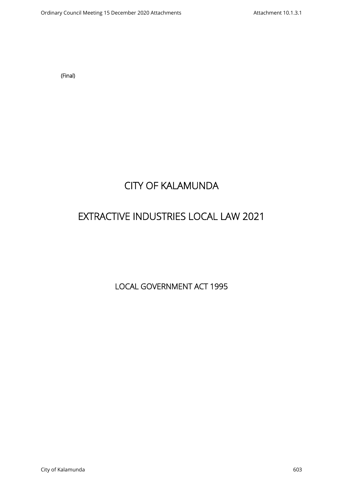**(Final)**

# **CITY OF KALAMUNDA**

# **EXTRACTIVE INDUSTRIES LOCAL LAW 2021**

**LOCAL GOVERNMENT ACT 1995**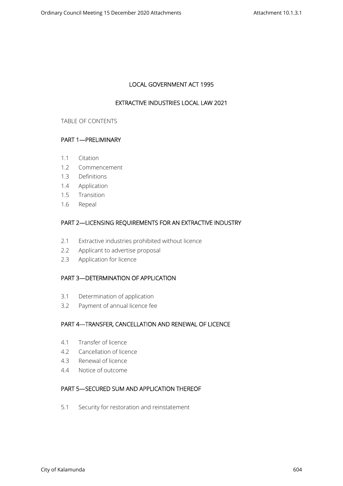# **LOCAL GOVERNMENT ACT 1995**

# **EXTRACTIVE INDUSTRIES LOCAL LAW 2021**

#### TABLE OF CONTENTS

# **PART 1—PRELIMINARY**

- 1.1 Citation
- 1.2 Commencement
- 1.3 Definitions
- 1.4 Application
- 1.5 Transition
- 1.6 Repeal

# **PART 2—LICENSING REQUIREMENTS FOR AN EXTRACTIVE INDUSTRY**

- 2.1 Extractive industries prohibited without licence
- 2.2 Applicant to advertise proposal
- 2.3 Application for licence

# **PART 3—DETERMINATION OF APPLICATION**

- 3.1 Determination of application
- 3.2 Payment of annual licence fee

# **PART 4—TRANSFER, CANCELLATION AND RENEWAL OF LICENCE**

- 4.1 Transfer of licence
- 4.2 Cancellation of licence
- 4.3 Renewal of licence
- 4.4 Notice of outcome

# **PART 5—SECURED SUM AND APPLICATION THEREOF**

5.1 Security for restoration and reinstatement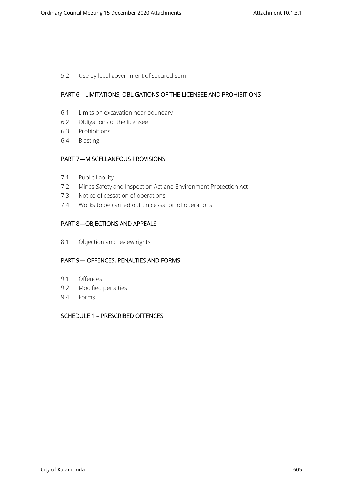5.2 Use by local government of secured sum

## **PART 6—LIMITATIONS, OBLIGATIONS OF THE LICENSEE AND PROHIBITIONS**

- 6.1 Limits on excavation near boundary
- 6.2 Obligations of the licensee
- 6.3 Prohibitions
- 6.4 Blasting

## **PART 7—MISCELLANEOUS PROVISIONS**

- 7.1 Public liability
- 7.2 Mines Safety and Inspection Act and Environment Protection Act
- 7.3 Notice of cessation of operations
- 7.4 Works to be carried out on cessation of operations

# **PART 8—OBJECTIONS AND APPEALS**

8.1 Objection and review rights

# **PART 9— OFFENCES, PENALTIES AND FORMS**

- 9.1 Offences
- 9.2 Modified penalties
- 9.4 Forms

# **SCHEDULE 1 – PRESCRIBED OFFENCES**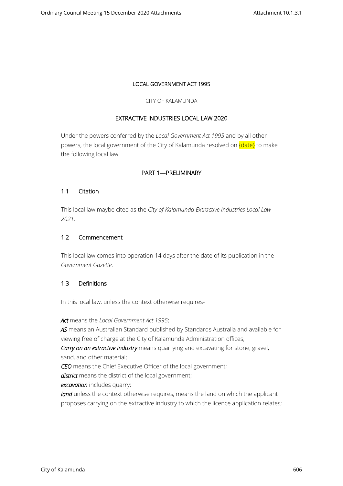## **LOCAL GOVERNMENT ACT 1995**

#### CITY OF KALAMUNDA

# **EXTRACTIVE INDUSTRIES LOCAL LAW 2020**

Under the powers conferred by the *Local Government Act 1995* and by all other powers, the local government of the City of Kalamunda resolved on  ${date}$  to make the following local law.

## **PART 1—PRELIMINARY**

## **1.1 Citation**

This local law maybe cited as the *City of Kalamunda Extractive Industries Local Law 2021*.

## **1.2 Commencement**

This local law comes into operation 14 days after the date of its publication in the *Government Gazette*.

#### **1.3 Definitions**

In this local law, unless the context otherwise requires-

*Act* means the *Local Government Act 1995*;

*AS* means an Australian Standard published by Standards Australia and available for viewing free of charge at the City of Kalamunda Administration offices;

*Carry on an extractive industry* means quarrying and excavating for stone, gravel, sand, and other material;

*CEO* means the Chief Executive Officer of the local government;

*district* means the district of the local government;

*excavation* includes quarry;

land unless the context otherwise requires, means the land on which the applicant proposes carrying on the extractive industry to which the licence application relates;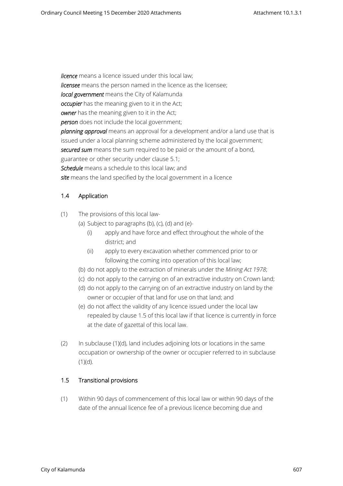*licence* means a licence issued under this local law; *licensee* means the person named in the licence as the licensee; *local government* means the City of Kalamunda *occupier* has the meaning given to it in the Act; *owner* has the meaning given to it in the Act; *person* does not include the local government; *planning approval* means an approval for a development and/or a land use that is issued under a local planning scheme administered by the local government; *secured sum* means the sum required to be paid or the amount of a bond, guarantee or other security under clause 5.1; *Schedule* means a schedule to this local law; and *site* means the land specified by the local government in a licence

# **1.4 Application**

- (1) The provisions of this local law-
	- (a) Subject to paragraphs (b), (c), (d) and (e)-
		- (i) apply and have force and effect throughout the whole of the district; and
		- (ii) apply to every excavation whether commenced prior to or following the coming into operation of this local law;
	- (b) do not apply to the extraction of minerals under the *Mining Act 1978*;
	- (c) do not apply to the carrying on of an extractive industry on Crown land;
	- (d) do not apply to the carrying on of an extractive industry on land by the owner or occupier of that land for use on that land; and
	- (e) do not affect the validity of any licence issued under the local law repealed by clause 1.5 of this local law if that licence is currently in force at the date of gazettal of this local law.
- (2) In subclause (1)(d), land includes adjoining lots or locations in the same occupation or ownership of the owner or occupier referred to in subclause  $(1)(d)$ .

#### **1.5 Transitional provisions**

(1) Within 90 days of commencement of this local law or within 90 days of the date of the annual licence fee of a previous licence becoming due and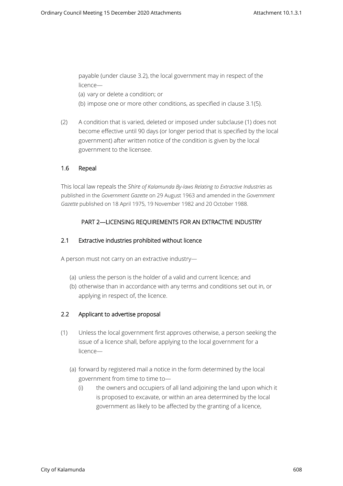payable (under clause 3.2), the local government may in respect of the licence—

(a) vary or delete a condition; or

- (b) impose one or more other conditions, as specified in clause 3.1(5).
- (2) A condition that is varied, deleted or imposed under subclause (1) does not become effective until 90 days (or longer period that is specified by the local government) after written notice of the condition is given by the local government to the licensee.

## **1.6 Repeal**

This local law repeals the *Shire of Kalamunda By-laws Relating to Extractive Industries* as published in the *Government Gazette* on 29 August 1963 and amended in the *Government Gazette* published on 18 April 1975, 19 November 1982 and 20 October 1988.

# **PART 2—LICENSING REQUIREMENTS FOR AN EXTRACTIVE INDUSTRY**

## **2.1 Extractive industries prohibited without licence**

A person must not carry on an extractive industry—

- (a) unless the person is the holder of a valid and current licence; and
- (b) otherwise than in accordance with any terms and conditions set out in, or applying in respect of, the licence.

# **2.2 Applicant to advertise proposal**

- (1) Unless the local government first approves otherwise, a person seeking the issue of a licence shall, before applying to the local government for a licence—
	- (a) forward by registered mail a notice in the form determined by the local government from time to time to—
		- (i) the owners and occupiers of all land adjoining the land upon which it is proposed to excavate, or within an area determined by the local government as likely to be affected by the granting of a licence,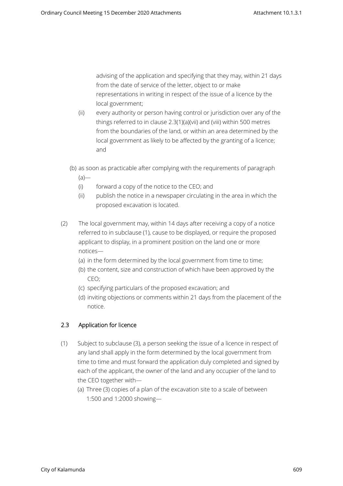advising of the application and specifying that they may, within 21 days from the date of service of the letter, object to or make representations in writing in respect of the issue of a licence by the local government;

- (ii) every authority or person having control or jurisdiction over any of the things referred to in clause 2.3(1)(a)(vii) and (viii) within 500 metres from the boundaries of the land, or within an area determined by the local government as likely to be affected by the granting of a licence; and
- (b) as soon as practicable after complying with the requirements of paragraph  $(a)$ —
	- (i) forward a copy of the notice to the CEO; and
	- (ii) publish the notice in a newspaper circulating in the area in which the proposed excavation is located.
- (2) The local government may, within 14 days after receiving a copy of a notice referred to in subclause (1), cause to be displayed, or require the proposed applicant to display, in a prominent position on the land one or more notices—
	- (a) in the form determined by the local government from time to time;
	- (b) the content, size and construction of which have been approved by the CEO;
	- (c) specifying particulars of the proposed excavation; and
	- (d) inviting objections or comments within 21 days from the placement of the notice.

# **2.3 Application for licence**

- (1) Subject to subclause (3), a person seeking the issue of a licence in respect of any land shall apply in the form determined by the local government from time to time and must forward the application duly completed and signed by each of the applicant, the owner of the land and any occupier of the land to the CEO together with—
	- (a) Three (3) copies of a plan of the excavation site to a scale of between 1:500 and 1:2000 showing—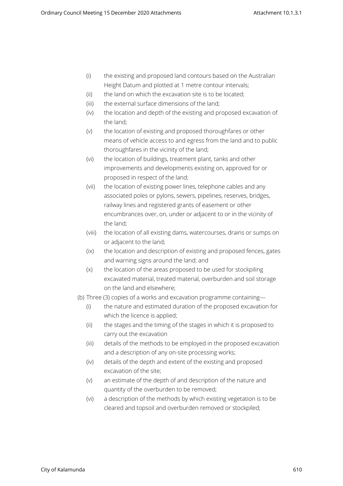- (i) the existing and proposed land contours based on the Australian Height Datum and plotted at 1 metre contour intervals;
- (ii) the land on which the excavation site is to be located;
- (iii) the external surface dimensions of the land;
- (iv) the location and depth of the existing and proposed excavation of the land;
- (v) the location of existing and proposed thoroughfares or other means of vehicle access to and egress from the land and to public thoroughfares in the vicinity of the land;
- (vi) the location of buildings, treatment plant, tanks and other improvements and developments existing on, approved for or proposed in respect of the land;
- (vii) the location of existing power lines, telephone cables and any associated poles or pylons, sewers, pipelines, reserves, bridges, railway lines and registered grants of easement or other encumbrances over, on, under or adjacent to or in the vicinity of the land;
- (viii) the location of all existing dams, watercourses, drains or sumps on or adjacent to the land;
- (ix) the location and description of existing and proposed fences, gates and warning signs around the land; and
- (x) the location of the areas proposed to be used for stockpiling excavated material, treated material, overburden and soil storage on the land and elsewhere;
- (b) Three (3) copies of a works and excavation programme containing—
	- (i) the nature and estimated duration of the proposed excavation for which the licence is applied;
	- (ii) the stages and the timing of the stages in which it is proposed to carry out the excavation
	- (iii) details of the methods to be employed in the proposed excavation and a description of any on-site processing works;
	- (iv) details of the depth and extent of the existing and proposed excavation of the site;
	- (v) an estimate of the depth of and description of the nature and quantity of the overburden to be removed;
	- (vi) a description of the methods by which existing vegetation is to be cleared and topsoil and overburden removed or stockpiled;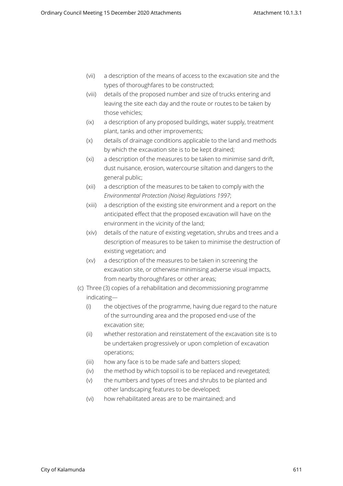- (vii) a description of the means of access to the excavation site and the types of thoroughfares to be constructed;
- (viii) details of the proposed number and size of trucks entering and leaving the site each day and the route or routes to be taken by those vehicles;
- (ix) a description of any proposed buildings, water supply, treatment plant, tanks and other improvements;
- (x) details of drainage conditions applicable to the land and methods by which the excavation site is to be kept drained;
- (xi) a description of the measures to be taken to minimise sand drift, dust nuisance, erosion, watercourse siltation and dangers to the general public;
- (xii) a description of the measures to be taken to comply with the *Environmental Protection (Noise) Regulations 1997*;
- (xiii) a description of the existing site environment and a report on the anticipated effect that the proposed excavation will have on the environment in the vicinity of the land;
- (xiv) details of the nature of existing vegetation, shrubs and trees and a description of measures to be taken to minimise the destruction of existing vegetation; and
- (xv) a description of the measures to be taken in screening the excavation site, or otherwise minimising adverse visual impacts, from nearby thoroughfares or other areas;
- (c) Three (3) copies of a rehabilitation and decommissioning programme indicating—
	- (i) the objectives of the programme, having due regard to the nature of the surrounding area and the proposed end-use of the excavation site;
	- (ii) whether restoration and reinstatement of the excavation site is to be undertaken progressively or upon completion of excavation operations;
	- (iii) how any face is to be made safe and batters sloped;
	- (iv) the method by which topsoil is to be replaced and revegetated;
	- (v) the numbers and types of trees and shrubs to be planted and other landscaping features to be developed;
	- (vi) how rehabilitated areas are to be maintained; and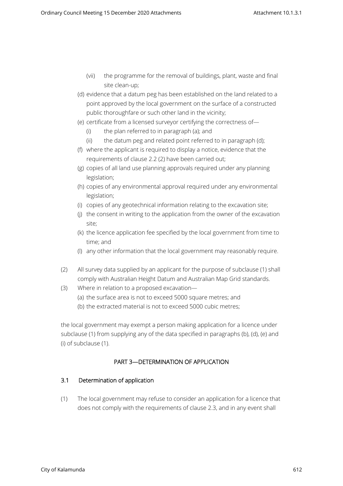- (vii) the programme for the removal of buildings, plant, waste and final site clean-up;
- (d) evidence that a datum peg has been established on the land related to a point approved by the local government on the surface of a constructed public thoroughfare or such other land in the vicinity;
- (e) certificate from a licensed surveyor certifying the correctness of—
	- (i) the plan referred to in paragraph (a); and
	- (ii) the datum peg and related point referred to in paragraph (d);
- (f) where the applicant is required to display a notice, evidence that the requirements of clause 2.2 (2) have been carried out;
- (g) copies of all land use planning approvals required under any planning legislation;
- (h) copies of any environmental approval required under any environmental legislation;
- (i) copies of any geotechnical information relating to the excavation site;
- (j) the consent in writing to the application from the owner of the excavation site;
- (k) the licence application fee specified by the local government from time to time; and
- (l) any other information that the local government may reasonably require.
- (2) All survey data supplied by an applicant for the purpose of subclause (1) shall comply with Australian Height Datum and Australian Map Grid standards.
- (3) Where in relation to a proposed excavation—
	- (a) the surface area is not to exceed 5000 square metres; and
	- (b) the extracted material is not to exceed 5000 cubic metres;

the local government may exempt a person making application for a licence under subclause (1) from supplying any of the data specified in paragraphs (b), (d), (e) and (i) of subclause (1).

# **PART 3—DETERMINATION OF APPLICATION**

# **3.1 Determination of application**

(1) The local government may refuse to consider an application for a licence that does not comply with the requirements of clause 2.3, and in any event shall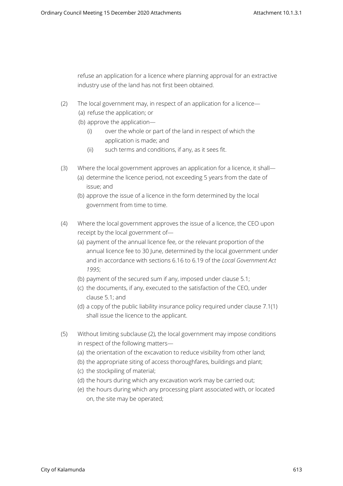refuse an application for a licence where planning approval for an extractive industry use of the land has not first been obtained.

- (2) The local government may, in respect of an application for a licence—
	- (a) refuse the application; or
	- (b) approve the application—
		- (i) over the whole or part of the land in respect of which the application is made; and
		- (ii) such terms and conditions, if any, as it sees fit.
- (3) Where the local government approves an application for a licence, it shall—
	- (a) determine the licence period, not exceeding 5 years from the date of issue; and
	- (b) approve the issue of a licence in the form determined by the local government from time to time.
- (4) Where the local government approves the issue of a licence, the CEO upon receipt by the local government of—
	- (a) payment of the annual licence fee, or the relevant proportion of the annual licence fee to 30 June, determined by the local government under and in accordance with sections 6.16 to 6.19 of the *Local Government Act 1995*;
	- (b) payment of the secured sum if any, imposed under clause 5.1;
	- (c) the documents, if any, executed to the satisfaction of the CEO, under clause 5.1; and
	- (d) a copy of the public liability insurance policy required under clause 7.1(1) shall issue the licence to the applicant.
- (5) Without limiting subclause (2), the local government may impose conditions in respect of the following matters—
	- (a) the orientation of the excavation to reduce visibility from other land;
	- (b) the appropriate siting of access thoroughfares, buildings and plant;
	- (c) the stockpiling of material;
	- (d) the hours during which any excavation work may be carried out;
	- (e) the hours during which any processing plant associated with, or located on, the site may be operated;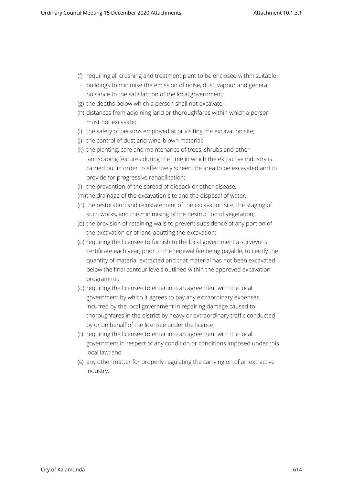- (f) requiring all crushing and treatment plant to be enclosed within suitable buildings to minimise the emission of noise, dust, vapour and general nuisance to the satisfaction of the local government;
- (g) the depths below which a person shall not excavate;
- (h) distances from adjoining land or thoroughfares within which a person must not excavate;
- (i) the safety of persons employed at or visiting the excavation site;
- (j) the control of dust and wind-blown material;
- (k) the planting, care and maintenance of trees, shrubs and other landscaping features during the time in which the extractive industry is carried out in order to effectively screen the area to be excavated and to provide for progressive rehabilitation;
- (l) the prevention of the spread of dieback or other disease;
- (m)the drainage of the excavation site and the disposal of water;
- (n) the restoration and reinstatement of the excavation site, the staging of such works, and the minimising of the destruction of vegetation;
- (o) the provision of retaining walls to prevent subsidence of any portion of the excavation or of land abutting the excavation;
- (p) requiring the licensee to furnish to the local government a surveyor's certificate each year, prior to the renewal fee being payable, to certify the quantity of material extracted and that material has not been excavated below the final contour levels outlined within the approved excavation programme;
- (q) requiring the licensee to enter into an agreement with the local government by which it agrees to pay any extraordinary expenses incurred by the local government in repairing damage caused to thoroughfares in the district by heavy or extraordinary traffic conducted by or on behalf of the licensee under the licence;
- (r) requiring the licensee to enter into an agreement with the local government in respect of any condition or conditions imposed under this local law; and
- (s) any other matter for properly regulating the carrying on of an extractive industry.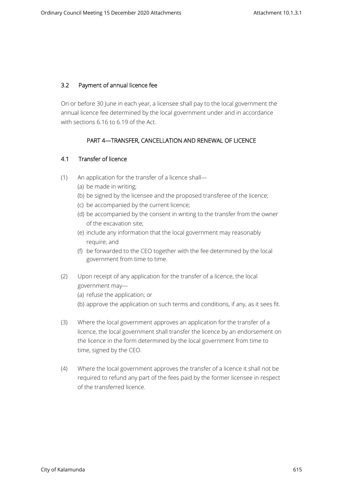# **3.2 Payment of annual licence fee**

On or before 30 June in each year, a licensee shall pay to the local government the annual licence fee determined by the local government under and in accordance with sections 6.16 to 6.19 of the Act.

# **PART 4—TRANSFER, CANCELLATION AND RENEWAL OF LICENCE**

# **4.1 Transfer of licence**

- (1) An application for the transfer of a licence shall—
	- (a) be made in writing;
	- (b) be signed by the licensee and the proposed transferee of the licence;
	- (c) be accompanied by the current licence;
	- (d) be accompanied by the consent in writing to the transfer from the owner of the excavation site;
	- (e) include any information that the local government may reasonably require; and
	- (f) be forwarded to the CEO together with the fee determined by the local government from time to time.
- (2) Upon receipt of any application for the transfer of a licence, the local government may—
	- (a) refuse the application; or
	- (b) approve the application on such terms and conditions, if any, as it sees fit.
- (3) Where the local government approves an application for the transfer of a licence, the local government shall transfer the licence by an endorsement on the licence in the form determined by the local government from time to time, signed by the CEO.
- (4) Where the local government approves the transfer of a licence it shall not be required to refund any part of the fees paid by the former licensee in respect of the transferred licence.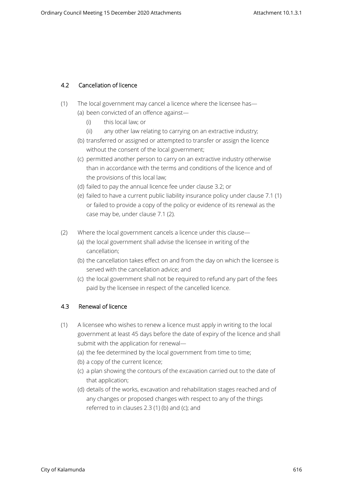# **4.2 Cancellation of licence**

- (1) The local government may cancel a licence where the licensee has—
	- (a) been convicted of an offence against—
		- (i) this local law; or
		- (ii) any other law relating to carrying on an extractive industry;
	- (b) transferred or assigned or attempted to transfer or assign the licence without the consent of the local government;
	- (c) permitted another person to carry on an extractive industry otherwise than in accordance with the terms and conditions of the licence and of the provisions of this local law;
	- (d) failed to pay the annual licence fee under clause 3.2; or
	- (e) failed to have a current public liability insurance policy under clause 7.1 (1) or failed to provide a copy of the policy or evidence of its renewal as the case may be, under clause 7.1 (2).
- (2) Where the local government cancels a licence under this clause—
	- (a) the local government shall advise the licensee in writing of the cancellation;
	- (b) the cancellation takes effect on and from the day on which the licensee is served with the cancellation advice; and
	- (c) the local government shall not be required to refund any part of the fees paid by the licensee in respect of the cancelled licence.

# **4.3 Renewal of licence**

- (1) A licensee who wishes to renew a licence must apply in writing to the local government at least 45 days before the date of expiry of the licence and shall submit with the application for renewal—
	- (a) the fee determined by the local government from time to time;
	- (b) a copy of the current licence;
	- (c) a plan showing the contours of the excavation carried out to the date of that application;
	- (d) details of the works, excavation and rehabilitation stages reached and of any changes or proposed changes with respect to any of the things referred to in clauses 2.3 (1) (b) and (c); and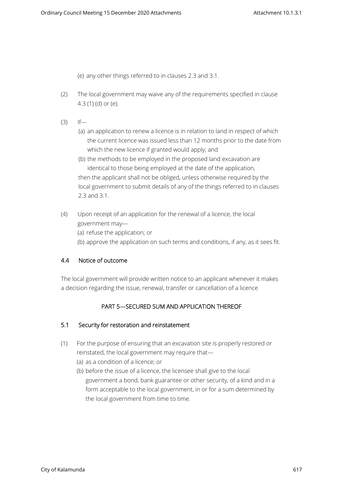(e) any other things referred to in clauses 2.3 and 3.1.

- (2) The local government may waive any of the requirements specified in clause 4.3 (1) (d) or (e).
- $(3)$  If—
	- (a) an application to renew a licence is in relation to land in respect of which the current licence was issued less than 12 months prior to the date from which the new licence if granted would apply; and
	- (b) the methods to be employed in the proposed land excavation are identical to those being employed at the date of the application, then the applicant shall not be obliged, unless otherwise required by the local government to submit details of any of the things referred to in clauses 2.3 and 3.1.
- (4) Upon receipt of an application for the renewal of a licence, the local government may—
	- (a) refuse the application; or
	- (b) approve the application on such terms and conditions, if any, as it sees fit.

# **4.4 Notice of outcome**

The local government will provide written notice to an applicant whenever it makes a decision regarding the issue, renewal, transfer or cancellation of a licence

# **PART 5—SECURED SUM AND APPLICATION THEREOF**

#### **5.1 Security for restoration and reinstatement**

- (1) For the purpose of ensuring that an excavation site is properly restored or reinstated, the local government may require that— (a) as a condition of a licence; or
	- (b) before the issue of a licence, the licensee shall give to the local government a bond, bank guarantee or other security, of a kind and in a form acceptable to the local government, in or for a sum determined by the local government from time to time.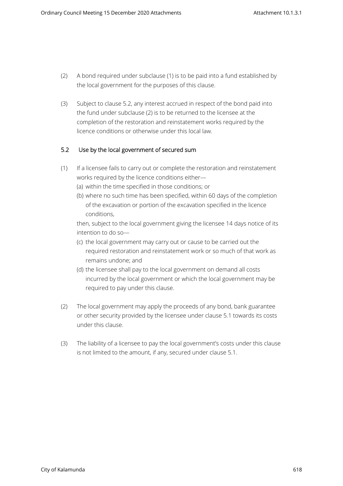- (2) A bond required under subclause (1) is to be paid into a fund established by the local government for the purposes of this clause.
- (3) Subject to clause 5.2, any interest accrued in respect of the bond paid into the fund under subclause (2) is to be returned to the licensee at the completion of the restoration and reinstatement works required by the licence conditions or otherwise under this local law.

# **5.2 Use by the local government of secured sum**

- (1) If a licensee fails to carry out or complete the restoration and reinstatement works required by the licence conditions either—
	- (a) within the time specified in those conditions; or
	- (b) where no such time has been specified, within 60 days of the completion of the excavation or portion of the excavation specified in the licence conditions,

then, subject to the local government giving the licensee 14 days notice of its intention to do so—

- (c) the local government may carry out or cause to be carried out the required restoration and reinstatement work or so much of that work as remains undone; and
- (d) the licensee shall pay to the local government on demand all costs incurred by the local government or which the local government may be required to pay under this clause.
- (2) The local government may apply the proceeds of any bond, bank guarantee or other security provided by the licensee under clause 5.1 towards its costs under this clause.
- (3) The liability of a licensee to pay the local government's costs under this clause is not limited to the amount, if any, secured under clause 5.1.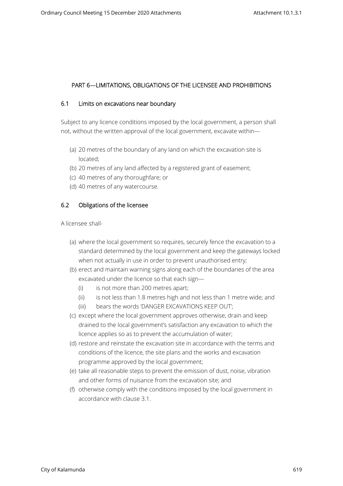## **PART 6—LIMITATIONS, OBLIGATIONS OF THE LICENSEE AND PROHIBITIONS**

#### **6.1 Limits on excavations near boundary**

Subject to any licence conditions imposed by the local government, a person shall not, without the written approval of the local government, excavate within—

- (a) 20 metres of the boundary of any land on which the excavation site is located;
- (b) 20 metres of any land affected by a registered grant of easement;
- (c) 40 metres of any thoroughfare; or
- (d) 40 metres of any watercourse.

#### **6.2 Obligations of the licensee**

A licensee shall-

- (a) where the local government so requires, securely fence the excavation to a standard determined by the local government and keep the gateways locked when not actually in use in order to prevent unauthorised entry;
- (b) erect and maintain warning signs along each of the boundaries of the area excavated under the licence so that each sign—
	- (i) is not more than 200 metres apart;
	- (ii) is not less than 1.8 metres high and not less than 1 metre wide; and
	- (iii) bears the words 'DANGER EXCAVATIONS KEEP OUT';
- (c) except where the local government approves otherwise, drain and keep drained to the local government's satisfaction any excavation to which the licence applies so as to prevent the accumulation of water;
- (d) restore and reinstate the excavation site in accordance with the terms and conditions of the licence, the site plans and the works and excavation programme approved by the local government;
- (e) take all reasonable steps to prevent the emission of dust, noise, vibration and other forms of nuisance from the excavation site; and
- (f) otherwise comply with the conditions imposed by the local government in accordance with clause 3.1.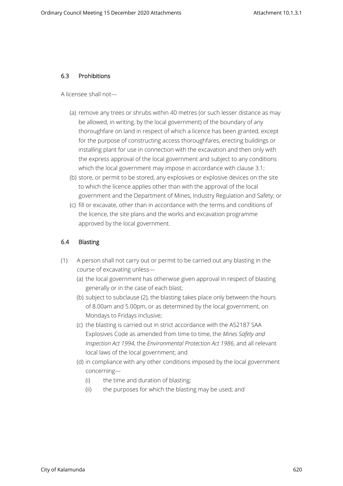## **6.3 Prohibitions**

A licensee shall not—

- (a) remove any trees or shrubs within 40 metres (or such lesser distance as may be allowed, in writing, by the local government) of the boundary of any thoroughfare on land in respect of which a licence has been granted, except for the purpose of constructing access thoroughfares, erecting buildings or installing plant for use in connection with the excavation and then only with the express approval of the local government and subject to any conditions which the local government may impose in accordance with clause 3.1;
- (b) store, or permit to be stored, any explosives or explosive devices on the site to which the licence applies other than with the approval of the local government and the Department of Mines, Industry Regulation and Safety; or
- (c) fill or excavate, other than in accordance with the terms and conditions of the licence, the site plans and the works and excavation programme approved by the local government.

# **6.4 Blasting**

- (1) A person shall not carry out or permit to be carried out any blasting in the course of excavating unless—
	- (a) the local government has otherwise given approval in respect of blasting generally or in the case of each blast;
	- (b) subject to subclause (2), the blasting takes place only between the hours of 8.00am and 5.00pm, or as determined by the local government, on Mondays to Fridays inclusive;
	- (c) the blasting is carried out in strict accordance with the AS2187 SAA Explosives Code as amended from time to time, the *Mines Safety and Inspection Act 1994*, the *Environmental Protection Act 1986*, and all relevant local laws of the local government; and
	- (d) in compliance with any other conditions imposed by the local government concerning—
		- (i) the time and duration of blasting;
		- (ii) the purposes for which the blasting may be used; and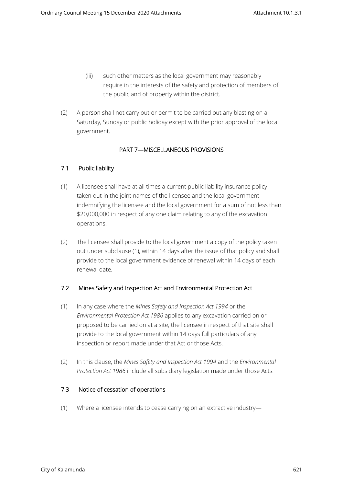- (iii) such other matters as the local government may reasonably require in the interests of the safety and protection of members of the public and of property within the district.
- (2) A person shall not carry out or permit to be carried out any blasting on a Saturday, Sunday or public holiday except with the prior approval of the local government.

# **PART 7—MISCELLANEOUS PROVISIONS**

# **7.1 Public liability**

- (1) A licensee shall have at all times a current public liability insurance policy taken out in the joint names of the licensee and the local government indemnifying the licensee and the local government for a sum of not less than \$20,000,000 in respect of any one claim relating to any of the excavation operations.
- (2) The licensee shall provide to the local government a copy of the policy taken out under subclause (1), within 14 days after the issue of that policy and shall provide to the local government evidence of renewal within 14 days of each renewal date.

# **7.2 Mines Safety and Inspection Act and Environmental Protection Act**

- (1) In any case where the *Mines Safety and Inspection Act 1994* or the *Environmental Protection Act 1986* applies to any excavation carried on or proposed to be carried on at a site, the licensee in respect of that site shall provide to the local government within 14 days full particulars of any inspection or report made under that Act or those Acts.
- (2) In this clause, the *Mines Safety and Inspection Act 1994* and the *Environmental Protection Act 1986* include all subsidiary legislation made under those Acts.

# **7.3 Notice of cessation of operations**

(1) Where a licensee intends to cease carrying on an extractive industry—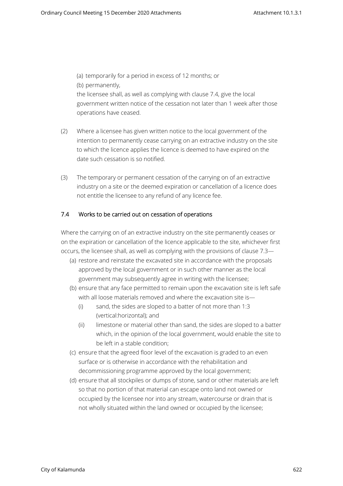(a) temporarily for a period in excess of 12 months; or (b) permanently, the licensee shall, as well as complying with clause 7.4, give the local government written notice of the cessation not later than 1 week after those operations have ceased.

- (2) Where a licensee has given written notice to the local government of the intention to permanently cease carrying on an extractive industry on the site to which the licence applies the licence is deemed to have expired on the date such cessation is so notified.
- (3) The temporary or permanent cessation of the carrying on of an extractive industry on a site or the deemed expiration or cancellation of a licence does not entitle the licensee to any refund of any licence fee.

# **7.4 Works to be carried out on cessation of operations**

Where the carrying on of an extractive industry on the site permanently ceases or on the expiration or cancellation of the licence applicable to the site, whichever first occurs, the licensee shall, as well as complying with the provisions of clause 7.3—

- (a) restore and reinstate the excavated site in accordance with the proposals approved by the local government or in such other manner as the local government may subsequently agree in writing with the licensee;
- (b) ensure that any face permitted to remain upon the excavation site is left safe with all loose materials removed and where the excavation site is—
	- (i) sand, the sides are sloped to a batter of not more than 1:3 (vertical:horizontal); and
	- (ii) limestone or material other than sand, the sides are sloped to a batter which, in the opinion of the local government, would enable the site to be left in a stable condition;
- (c) ensure that the agreed floor level of the excavation is graded to an even surface or is otherwise in accordance with the rehabilitation and decommissioning programme approved by the local government;
- (d) ensure that all stockpiles or dumps of stone, sand or other materials are left so that no portion of that material can escape onto land not owned or occupied by the licensee nor into any stream, watercourse or drain that is not wholly situated within the land owned or occupied by the licensee;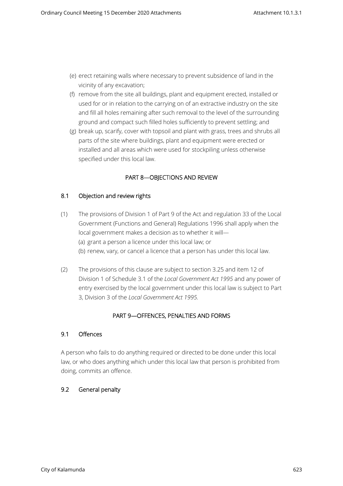- (e) erect retaining walls where necessary to prevent subsidence of land in the vicinity of any excavation;
- (f) remove from the site all buildings, plant and equipment erected, installed or used for or in relation to the carrying on of an extractive industry on the site and fill all holes remaining after such removal to the level of the surrounding ground and compact such filled holes sufficiently to prevent settling; and
- (g) break up, scarify, cover with topsoil and plant with grass, trees and shrubs all parts of the site where buildings, plant and equipment were erected or installed and all areas which were used for stockpiling unless otherwise specified under this local law.

# **PART 8—OBJECTIONS AND REVIEW**

## **8.1 Objection and review rights**

- (1) The provisions of Division 1 of Part 9 of the Act and regulation 33 of the Local Government (Functions and General) Regulations 1996 shall apply when the local government makes a decision as to whether it will— (a) grant a person a licence under this local law; or (b) renew, vary, or cancel a licence that a person has under this local law.
- (2) The provisions of this clause are subject to section 3.25 and item 12 of Division 1 of Schedule 3.1 of the *Local Government Act 1995* and any power of entry exercised by the local government under this local law is subject to Part 3, Division 3 of the *Local Government Act 1995.*

# **PART 9—OFFENCES, PENALTIES AND FORMS**

#### **9.1 Offences**

A person who fails to do anything required or directed to be done under this local law, or who does anything which under this local law that person is prohibited from doing, commits an offence.

# **9.2 General penalty**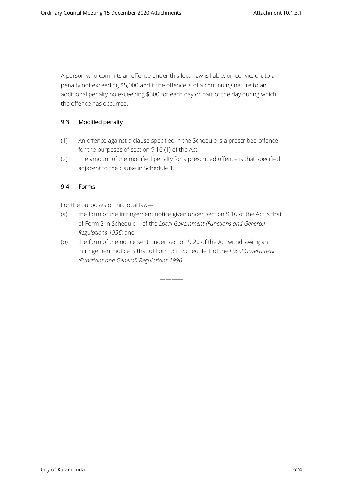A person who commits an offence under this local law is liable, on conviction, to a penalty not exceeding \$5,000 and if the offence is of a continuing nature to an additional penalty no exceeding \$500 for each day or part of the day during which the offence has occurred.

# **9.3 Modified penalty**

- (1) An offence against a clause specified in the Schedule is a prescribed offence for the purposes of section 9.16 (1) of the Act.
- (2) The amount of the modified penalty for a prescribed offence is that specified adjacent to the clause in Schedule 1.

# **9.4 Forms**

For the purposes of this local law—

- (a) the form of the infringement notice given under section 9.16 of the Act is that of Form 2 in Schedule 1 of the *Local Government (Functions and General) Regulations 1996*; and
- (b) the form of the notice sent under section 9.20 of the Act withdrawing an infringement notice is that of Form 3 in Schedule 1 of the *Local Government (Functions and General) Regulations 1996*.

————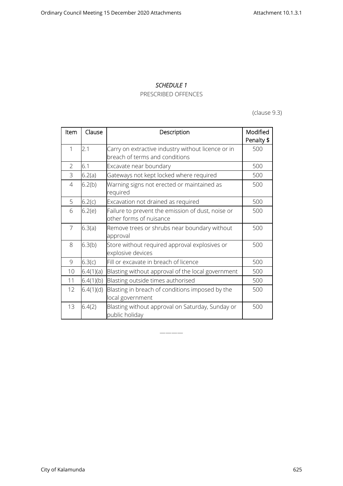#### *SCHEDULE 1*

## PRESCRIBED OFFENCES

(clause 9.3)

| Item           | Clause    | Description                                                                          | Modified<br>Penalty \$ |
|----------------|-----------|--------------------------------------------------------------------------------------|------------------------|
| 1              | 2.1       | Carry on extractive industry without licence or in<br>breach of terms and conditions | 500                    |
| $\overline{2}$ | 6.1       | Excavate near boundary                                                               | 500                    |
| 3              | 6.2(a)    | Gateways not kept locked where required                                              | 500                    |
| 4              | 6.2(b)    | Warning signs not erected or maintained as<br>required                               | 500                    |
| 5              | 6.2(c)    | Excavation not drained as required                                                   | 500                    |
| 6              | 6.2(e)    | Failure to prevent the emission of dust, noise or<br>other forms of nuisance         | 500                    |
| $\overline{7}$ | 6.3(a)    | Remove trees or shrubs near boundary without<br>approval                             | 500                    |
| 8              | 6.3(b)    | Store without required approval explosives or<br>explosive devices                   | 500                    |
| 9              | 6.3(c)    | Fill or excavate in breach of licence                                                | 500                    |
| 10             | 6.4(1)(a) | Blasting without approval of the local government                                    | 500                    |
| 11             | 6.4(1)(b) | Blasting outside times authorised                                                    | 500                    |
| 12             | 6.4(1)(d) | Blasting in breach of conditions imposed by the<br>local government                  | 500                    |
| 13             | 6.4(2)    | Blasting without approval on Saturday, Sunday or<br>public holiday                   | 500                    |

————